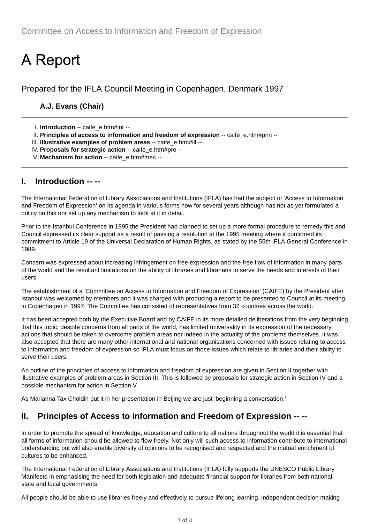# **A Report**

Prepared for the IFLA Council Meeting in Copenhagen, Denmark 1997

## **A.J. Evans (Chair)**

- I. **Introduction** -- caife\_e.htm#int --
- II. **Principles of access to information and freedom of expression** -- caife\_e.htm#prin --
- III. **Illustrative examples of problem areas** -- caife\_e.htm#ill --
- IV. **Proposals for strategic action** -- caife\_e.htm#pro --
- V. **Mechanism for action** -- caife\_e.htm#mec --

### **I. Introduction -- --**

The International Federation of Library Associations and Institutions (IFLA) has had the subject of 'Access to Information and Freedom of Expression' on its agenda in various forms now for several years although has not as yet formulated a policy on this nor set up any mechanism to look at it in detail.

Prior to the Istanbul Conference in 1995 the President had planned to set up a more formal procedure to remedy this and Council expressed its clear support as a result of passing a resolution at the 1995 meeting where it confirmed its commitment to Article 19 of the Universal Declaration of Human Rights, as stated by the 55th IFLA General Conference in 1989.

Concern was expressed about increasing infringement on free expression and the free flow of information in many parts of the world and the resultant limitations on the ability of libraries and librarians to serve the needs and interests of their users.

The establishment of a 'Committee on Access to Information and Freedom of Expression' (CAIFE) by the President after Istanbul was welcomed by members and it was charged with producing a report to be presented to Council at its meeting in Copenhagen in 1997. The Committee has consisted of representatives from 32 countries across the world.

It has been accepted both by the Executive Board and by CAIFE in its more detailed deliberations from the very beginning that this topic, despite concerns from all parts of the world, has limited universality in its expression of the necessary actions that should be taken to overcome problem areas nor indeed in the actuality of the problems themselves. It was also accepted that there are many other international and national organisations concerned with issues relating to access to information and freedom of expression so IFLA must focus on those issues which relate to libraries and their ability to serve their users.

An outline of the principles of access to information and freedom of expression are given in Section II together with illustrative examples of problem areas in Section III. This is followed by proposals for strategic action in Section IV and a possible mechanism for action in Section V.

As Marianna Tax Choldin put it in her presentation in Beijing we are just 'beginning a conversation.'

## **II. Principles of Access to information and Freedom of Expression -- --**

In order to promote the spread of knowledge, education and culture to all nations throughout the world it is essential that all forms of information should be allowed to flow freely. Not only will such access to information contribute to international understanding but will also enable diversity of opinions to be recognised and respected and the mutual enrichment of cultures to be enhanced.

The International Federation of Library Associations and Institutions (IFLA) fully supports the UNESCO Public Library Manifesto in emphasising the need for both legislation and adequate financial support for libraries from both national, state and local governments.

All people should be able to use libraries freely and effectively to pursue lifelong learning, independent decision making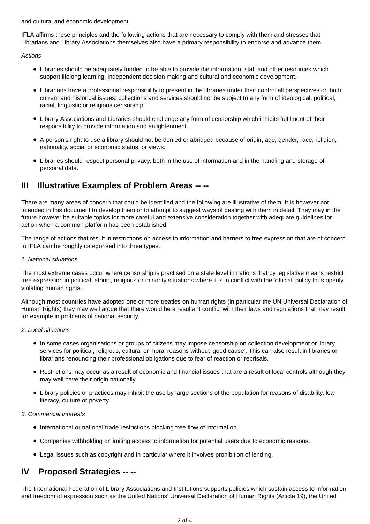and cultural and economic development.

IFLA affirms these principles and the following actions that are necessary to comply with them and stresses that Librarians and Library Associations themselves also have a primary responsibility to endorse and advance them.

*Actions*

- Libraries should be adequately funded to be able to provide the information, staff and other resources which support lifelong learning, independent decision making and cultural and economic development.
- Librarians have a professional responsibility to present in the libraries under their control all perspectives on both current and historical issues: collections and services should not be subject to any form of ideological, political, racial, linguistic or religious censorship.
- Library Associations and Libraries should challenge any form of censorship which inhibits fulfilment of their responsibility to provide information and enlightenment.
- A person's right to use a library should not be denied or abridged because of origin, age, gender, race, religion, nationality, social or economic status, or views.
- Libraries should respect personal privacy, both in the use of information and in the handling and storage of personal data.

## **III Illustrative Examples of Problem Areas -- --**

There are many areas of concern that could be identified and the following are illustrative of them. It is however not intended in this document to develop them or to attempt to suggest ways of dealing with them in detail. They may in the future however be suitable topics for more careful and extensive consideration together with adequate guidelines for action when a common platform has been established.

The range of actions that result in restrictions on access to information and barriers to free expression that are of concern to IFLA can be roughly categorised into three types.

#### *1. National situations*

The most extreme cases occur where censorship is practised on a state level in nations that by legislative means restrict free expression in political, ethnic, religious or minority situations where it is in conflict with the 'official' policy thus openly violating human rights.

Although most countries have adopted one or more treaties on human rights (in particular the UN Universal Declaration of Human Rights) they may well argue that there would be a resultant conflict with their laws and regulations that may result for example in problems of national security.

#### *2. Local situations*

- In some cases organisations or groups of citizens may impose censorship on collection development or library services for political, religious, cultural or moral reasons without 'good cause'. This can also result in libraries or librarians renouncing their professional obligations due to fear of reaction or reprisals.
- Restrictions may occur as a result of economic and financial issues that are a result of local controls although they may well have their origin nationally.
- Library policies or practices may inhibit the use by large sections of the population for reasons of disability, low literacy, culture or poverty.

#### *3. Commercial interests*

- International or national trade restrictions blocking free flow of information.
- Companies withholding or limiting access to information for potential users due to economic reasons.
- Legal issues such as copyright and in particular where it involves prohibition of lending.

## **IV Proposed Strategies -- --**

The International Federation of Library Associations and Institutions supports policies which sustain access to information and freedom of expression such as the United Nations' Universal Declaration of Human Rights (Article 19), the United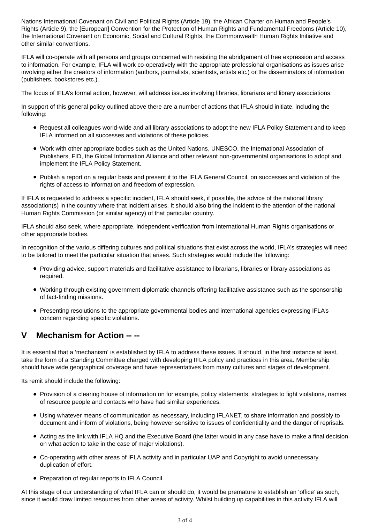Nations International Covenant on Civil and Political Rights (Article 19), the African Charter on Human and People's Rights (Article 9), the [European] Convention for the Protection of Human Rights and Fundamental Freedoms (Article 10), the International Covenant on Economic, Social and Cultural Rights, the Commonwealth Human Rights Initiative and other similar conventions.

IFLA will co-operate with all persons and groups concerned with resisting the abridgement of free expression and access to information. For example, IFLA will work co-operatively with the appropriate professional organisations as issues arise involving either the creators of information (authors, journalists, scientists, artists etc.) or the disseminators of information (publishers, bookstores etc.).

The focus of IFLA's formal action, however, will address issues involving libraries, librarians and library associations.

In support of this general policy outlined above there are a number of actions that IFLA should initiate, including the following:

- Request all colleagues world-wide and all library associations to adopt the new IFLA Policy Statement and to keep IFLA informed on all successes and violations of these policies.
- Work with other appropriate bodies such as the United Nations, UNESCO, the International Association of Publishers, FID, the Global Information Alliance and other relevant non-governmental organisations to adopt and implement the IFLA Policy Statement.
- Publish a report on a regular basis and present it to the IFLA General Council, on successes and violation of the rights of access to information and freedom of expression.

If IFLA is requested to address a specific incident, IFLA should seek, if possible, the advice of the national library association(s) in the country where that incident arises. It should also bring the incident to the attention of the national Human Rights Commission (or similar agency) of that particular country.

IFLA should also seek, where appropriate, independent verification from International Human Rights organisations or other appropriate bodies.

In recognition of the various differing cultures and political situations that exist across the world, IFLA's strategies will need to be tailored to meet the particular situation that arises. Such strategies would include the following:

- Providing advice, support materials and facilitative assistance to librarians, libraries or library associations as required.
- Working through existing government diplomatic channels offering facilitative assistance such as the sponsorship of fact-finding missions.
- Presenting resolutions to the appropriate governmental bodies and international agencies expressing IFLA's concern regarding specific violations.

## **V Mechanism for Action -- --**

It is essential that a 'mechanism' is established by IFLA to address these issues. It should, in the first instance at least, take the form of a Standing Committee charged with developing IFLA policy and practices in this area. Membership should have wide geographical coverage and have representatives from many cultures and stages of development.

Its remit should include the following:

- Provision of a clearing house of information on for example, policy statements, strategies to fight violations, names of resource people and contacts who have had similar experiences.
- Using whatever means of communication as necessary, including IFLANET, to share information and possibly to document and inform of violations, being however sensitive to issues of confidentiality and the danger of reprisals.
- Acting as the link with IFLA HQ and the Executive Board (the latter would in any case have to make a final decision on what action to take in the case of major violations).
- Co-operating with other areas of IFLA activity and in particular UAP and Copyright to avoid unnecessary duplication of effort.
- Preparation of regular reports to IFLA Council.

At this stage of our understanding of what IFLA can or should do, it would be premature to establish an 'office' as such, since it would draw limited resources from other areas of activity. Whilst building up capabilities in this activity IFLA will